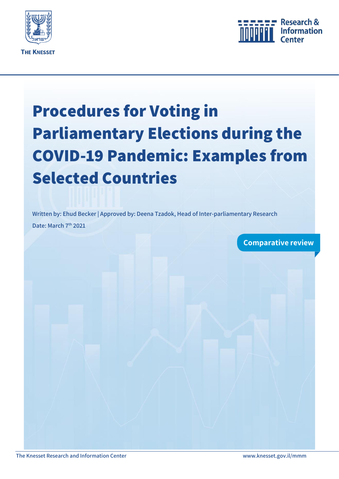<span id="page-0-0"></span>



# **Procedures for Voting in Parliamentary Elections during the COVID-19 Pandemic: Examples from Selected Countries**

**Written by: Ehud Becker | Approved by: Deena Tzadok, Head of Inter-parliamentary Research Date: March 7th 2021**

**Comparative review**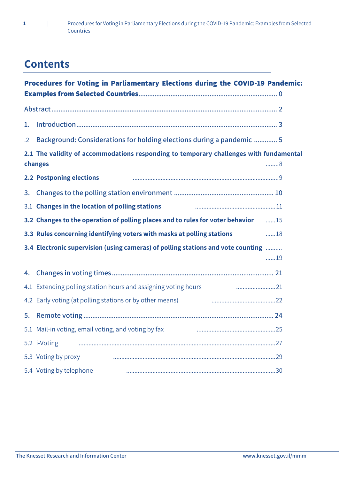

# **Contents**

| Procedures for Voting in Parliamentary Elections during the COVID-19 Pandemic:                         |                                                                                            |             |
|--------------------------------------------------------------------------------------------------------|--------------------------------------------------------------------------------------------|-------------|
|                                                                                                        |                                                                                            |             |
| 1.                                                                                                     |                                                                                            |             |
| $\cdot$ .2                                                                                             | Background: Considerations for holding elections during a pandemic  5                      |             |
| 2.1 The validity of accommodations responding to temporary challenges with fundamental<br>changes<br>8 |                                                                                            |             |
|                                                                                                        | <b>2.2 Postponing elections</b>                                                            |             |
|                                                                                                        |                                                                                            |             |
|                                                                                                        | 3.1 Changes in the location of polling stations                                            |             |
|                                                                                                        | 3.2 Changes to the operation of polling places and to rules for voter behavior <b>1998</b> |             |
|                                                                                                        | 3.3 Rules concerning identifying voters with masks at polling stations                     | $\ldots$ 18 |
|                                                                                                        | 3.4 Electronic supervision (using cameras) of polling stations and vote counting           | 19          |
|                                                                                                        |                                                                                            |             |
|                                                                                                        | 4.1 Extending polling station hours and assigning voting hours                             |             |
|                                                                                                        | 4.2 Early voting (at polling stations or by other means)                                   |             |
| 5.                                                                                                     |                                                                                            |             |
|                                                                                                        | 5.1 Mail-in voting, email voting, and voting by fax                                        |             |
|                                                                                                        | 5.2 i-Voting                                                                               |             |
|                                                                                                        | 5.3 Voting by proxy                                                                        |             |
|                                                                                                        | 5.4 Voting by telephone                                                                    |             |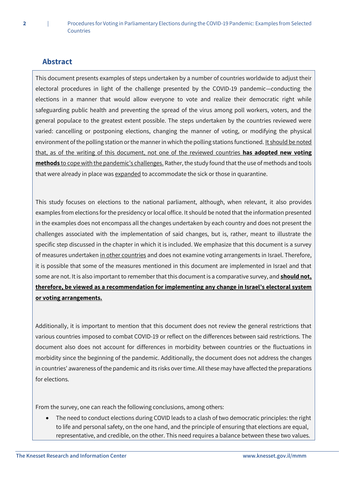# <span id="page-2-0"></span>**Abstract**

This document presents examples of steps undertaken by a number of countries worldwide to adjust their electoral procedures in light of the challenge presented by the COVID-19 pandemic—conducting the elections in a manner that would allow everyone to vote and realize their democratic right while safeguarding public health and preventing the spread of the virus among poll workers, voters, and the general populace to the greatest extent possible. The steps undertaken by the countries reviewed were varied: cancelling or postponing elections, changing the manner of voting, or modifying the physical environment of the polling station or the manner in which the polling stations functioned. It should be noted that, as of the writing of this document, not one of the reviewed countries **has adopted new voting methods** to cope with the pandemic's challenges. Rather, the study found that the use of methods and tools that were already in place was expanded to accommodate the sick or those in quarantine.

This study focuses on elections to the national parliament, although, when relevant, it also provides examples from elections for the presidency or local office. It should be noted that the information presented in the examples does not encompass all the changes undertaken by each country and does not present the challenges associated with the implementation of said changes, but is, rather, meant to illustrate the specific step discussed in the chapter in which it is included. We emphasize that this document is a survey of measures undertaken in other countries and does not examine voting arrangements in Israel. Therefore, it is possible that some of the measures mentioned in this document are implemented in Israel and that some are not. It is also important to remember that this document is a comparative survey, and **should not, therefore, be viewed as a recommendation for implementing any change in Israel's electoral system or voting arrangements.** 

Additionally, it is important to mention that this document does not review the general restrictions that various countries imposed to combat COVID-19 or reflect on the differences between said restrictions. The document also does not account for differences in morbidity between countries or the fluctuations in morbidity since the beginning of the pandemic. Additionally, the document does not address the changes in countries' awareness of the pandemic and its risks over time. All these may have affected the preparations for elections.

From the survey, one can reach the following conclusions, among others:

 The need to conduct elections during COVID leads to a clash of two democratic principles: the right to life and personal safety, on the one hand, and the principle of ensuring that elections are equal, representative, and credible, on the other. This need requires a balance between these two values.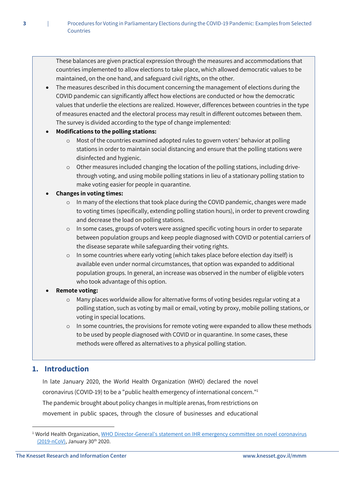These balances are given practical expression through the measures and accommodations that countries implemented to allow elections to take place, which allowed democratic values to be maintained, on the one hand, and safeguard civil rights, on the other.

 The measures described in this document concerning the management of elections during the COVID pandemic can significantly affect how elections are conducted or how the democratic values that underlie the elections are realized. However, differences between countries in the type of measures enacted and the electoral process may result in different outcomes between them. The survey is divided according to the type of change implemented:

#### **Modifications to the polling stations:**

- $\circ$  Most of the countries examined adopted rules to govern voters' behavior at polling stations in order to maintain social distancing and ensure that the polling stations were disinfected and hygienic.
- o Other measures included changing the location of the polling stations, including drivethrough voting, and using mobile polling stations in lieu of a stationary polling station to make voting easier for people in quarantine.

#### **Changes in voting times:**

- o In many of the elections that took place during the COVID pandemic, changes were made to voting times (specifically, extending polling station hours), in order to prevent crowding and decrease the load on polling stations.
- o In some cases, groups of voters were assigned specific voting hours in order to separate between population groups and keep people diagnosed with COVID or potential carriers of the disease separate while safeguarding their voting rights.
- o In some countries where early voting (which takes place before election day itself) is available even under normal circumstances, that option was expanded to additional population groups. In general, an increase was observed in the number of eligible voters who took advantage of this option.

#### **Remote voting:**

- o Many places worldwide allow for alternative forms of voting besides regular voting at a polling station, such as voting by mail or email, voting by proxy, mobile polling stations, or voting in special locations.
- $\circ$  In some countries, the provisions for remote voting were expanded to allow these methods to be used by people diagnosed with COVID or in quarantine. In some cases, these methods were offered as alternatives to a physical polling station.

# <span id="page-3-0"></span>**1. Introduction**

 $\overline{a}$ 

In late January 2020, the World Health Organization (WHO) declared the novel coronavirus (COVID-19) to be a "public health emergency of international concern."<sup>1</sup> The pandemic brought about policy changes in multiple arenas, from restrictions on movement in public spaces, through the closure of businesses and educational

<sup>&</sup>lt;sup>1</sup> World Health Organization, WHO Director-General's statement on IHR emergency committee on novel coronavirus [\(2019-nCoV\),](https://www.who.int/director-general/speeches/detail/who-director-general-s-statement-on-ihr-emergency-committee-on-novel-coronavirus-(2019-ncov)) January 30<sup>th</sup> 2020.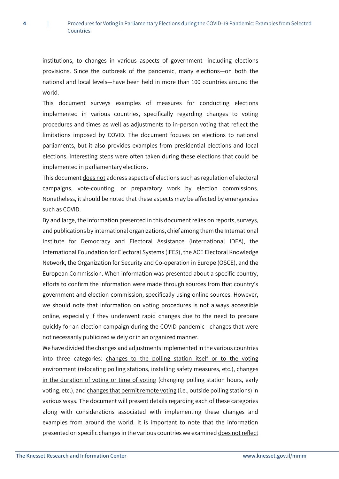institutions, to changes in various aspects of government—including elections provisions. Since the outbreak of the pandemic, many elections—on both the national and local levels—have been held in more than 100 countries around the world.

This document surveys examples of measures for conducting elections implemented in various countries, specifically regarding changes to voting procedures and times as well as adjustments to in-person voting that reflect the limitations imposed by COVID. The document focuses on elections to national parliaments, but it also provides examples from presidential elections and local elections. Interesting steps were often taken during these elections that could be implemented in parliamentary elections.

This document does not address aspects of elections such as regulation of electoral campaigns, vote-counting, or preparatory work by election commissions. Nonetheless, it should be noted that these aspects may be affected by emergencies such as COVID.

By and large, the information presented in this document relies on reports, surveys, and publications by international organizations, chief among them the International Institute for Democracy and Electoral Assistance (International IDEA), the International Foundation for Electoral Systems (IFES), the ACE Electoral Knowledge Network, the Organization for Security and Co-operation in Europe (OSCE), and the European Commission. When information was presented about a specific country, efforts to confirm the information were made through sources from that country's government and election commission, specifically using online sources. However, we should note that information on voting procedures is not always accessible online, especially if they underwent rapid changes due to the need to prepare quickly for an election campaign during the COVID pandemic—changes that were not necessarily publicized widely or in an organized manner.

We have divided the changes and adjustments implemented in the various countries into three categories: changes to the polling station itself or to the voting environment (relocating polling stations, installing safety measures, etc.), changes in the duration of voting or time of voting (changing polling station hours, early voting, etc.), and changes that permit remote voting (i.e., outside polling stations) in various ways. The document will present details regarding each of these categories along with considerations associated with implementing these changes and examples from around the world. It is important to note that the information presented on specific changes in the various countries we examined does not reflect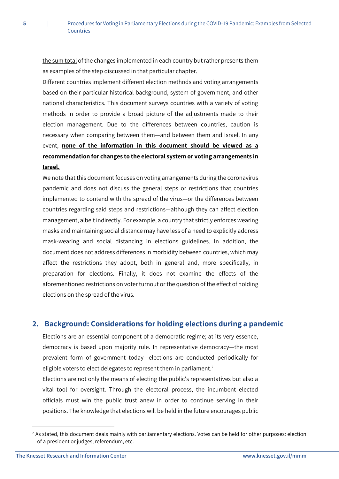the sum total of the changes implemented in each country but rather presents them as examples of the step discussed in that particular chapter.

Different countries implement different election methods and voting arrangements based on their particular historical background, system of government, and other national characteristics. This document surveys countries with a variety of voting methods in order to provide a broad picture of the adjustments made to their election management. Due to the differences between countries, caution is necessary when comparing between them—and between them and Israel. In any event, **none of the information in this document should be viewed as a recommendation for changes to the electoral system or voting arrangements in Israel.**

We note that this document focuses on voting arrangements during the coronavirus pandemic and does not discuss the general steps or restrictions that countries implemented to contend with the spread of the virus—or the differences between countries regarding said steps and restrictions—although they can affect election management, albeit indirectly. For example, a country that strictly enforces wearing masks and maintaining social distance may have less of a need to explicitly address mask-wearing and social distancing in elections guidelines. In addition, the document does not address differences in morbidity between countries, which may affect the restrictions they adopt, both in general and, more specifically, in preparation for elections. Finally, it does not examine the effects of the aforementioned restrictions on voter turnout or the question of the effect of holding elections on the spread of the virus.

# <span id="page-5-0"></span>**2. Background: Considerations for holding elections during a pandemic**

Elections are an essential component of a democratic regime; at its very essence, democracy is based upon majority rule. In representative democracy—the most prevalent form of government today—elections are conducted periodically for eligible voters to elect delegates to represent them in parliament.<sup>2</sup>

Elections are not only the means of electing the public's representatives but also a vital tool for oversight. Through the electoral process, the incumbent elected officials must win the public trust anew in order to continue serving in their positions. The knowledge that elections will be held in the future encourages public

 $2$  As stated, this document deals mainly with parliamentary elections. Votes can be held for other purposes: election of a president or judges, referendum, etc.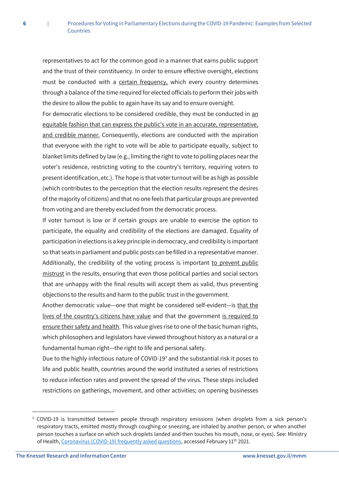representatives to act for the common good in a manner that earns public support and the trust of their constituency. In order to ensure effective oversight, elections must be conducted with a certain frequency, which every country determines through a balance of the time required for elected officials to perform their jobs with the desire to allow the public to again have its say and to ensure oversight.

For democratic elections to be considered credible, they must be conducted in an equitable fashion that can express the public's vote in an accurate, representative, and credible manner. Consequently, elections are conducted with the aspiration that everyone with the right to vote will be able to participate equally, subject to blanket limits defined by law (e.g., limiting the right to vote to polling places near the voter's residence, restricting voting to the country's territory, requiring voters to present identification, etc.). The hope is that voter turnout will be as high as possible (which contributes to the perception that the election results represent the desires of the majority of citizens) and that no one feels that particular groups are prevented from voting and are thereby excluded from the democratic process.

If voter turnout is low or if certain groups are unable to exercise the option to participate, the equality and credibility of the elections are damaged. Equality of participation in elections is a key principle in democracy, and credibility is important so that seats in parliament and public posts can be filled in a representative manner. Additionally, the credibility of the voting process is important to prevent public mistrust in the results, ensuring that even those political parties and social sectors that are unhappy with the final results will accept them as valid, thus preventing objections to the results and harm to the public trust in the government.

Another democratic value—one that might be considered self-evident—is that the lives of the country's citizens have value and that the government is required to ensure their safety and health. This value gives rise to one of the basic human rights, which philosophers and legislators have viewed throughout history as a natural or a fundamental human right—the right to life and personal safety.

Due to the highly infectious nature of COVID-19<sup>3</sup> and the substantial risk it poses to life and public health, countries around the world instituted a series of restrictions to reduce infection rates and prevent the spread of the virus. These steps included restrictions on gatherings, movement, and other activities; on opening businesses

<sup>3</sup> COVID-19 is transmitted between people through respiratory emissions (when droplets from a sick person's respiratory tracts, emitted mostly through coughing or sneezing, are inhaled by another person, or when another person touches a surface on which such droplets landed and then touches his mouth, nose, or eyes). See: Ministry of Health[, Coronavirus \(COVID-19\) frequently asked questions,](https://www.gov.il/en/departments/faq/faq-coronavirus) accessed February 11<sup>th</sup> 2021.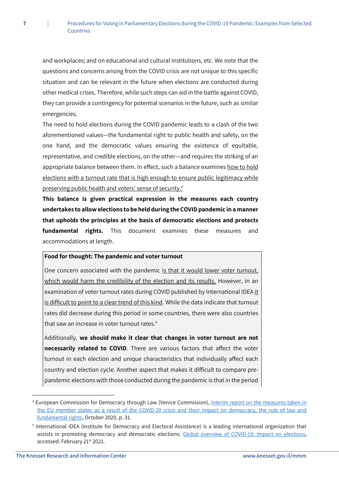and workplaces; and on educational and cultural institutions, etc. We note that the questions and concerns arising from the COVID crisis are not unique to this specific situation and can be relevant in the future when elections are conducted during other medical crises. Therefore, while such steps can aid in the battle against COVID, they can provide a contingency for potential scenarios in the future, such as similar emergencies.

The need to hold elections during the COVID pandemic leads to a clash of the two aforementioned values—the fundamental right to public health and safety, on the one hand, and the democratic values ensuring the existence of equitable, representative, and credible elections, on the other—and requires the striking of an appropriate balance between them. In effect, such a balance examines how to hold elections with a turnout rate that is high enough to ensure public legitimacy while preserving public health and voters' sense of security.<sup>4</sup>

**This balance is given practical expression in the measures each country undertakes to allow elections to be held during the COVID pandemic in a manner that upholds the principles at the basis of democratic elections and protects fundamental rights.** This document examines these measures and accommodations at length.

#### **Food for thought: The pandemic and voter turnout**

One concern associated with the pandemic is that it would lower voter turnout, which would harm the credibility of the election and its results. However, in an examination of voter turnout rates during COVID published by International IDEA it is difficult to point to a clear trend of this kind. While the data indicate that turnout rates did decrease during this period in some countries, there were also countries that saw an increase in voter turnout rates.<sup>5</sup>

Additionally, **we should make it clear that changes in voter turnout are not necessarily related to COVID**. There are various factors that affect the voter turnout in each election and unique characteristics that individually affect each country and election cycle. Another aspect that makes it difficult to compare prepandemic elections with those conducted during the pandemic is that in the period

<sup>4</sup> European Commission for Democracy through Law (Venice Commission)[, Interim report on the measures taken in](https://www.venice.coe.int/webforms/documents/default.aspx?pdffile=CDL-AD(2020)018-e)  the EU [member states as a result of the COVID-19 crisis and their impact on democracy, the rule of law and](https://www.venice.coe.int/webforms/documents/default.aspx?pdffile=CDL-AD(2020)018-e)  [fundamental rights,](https://www.venice.coe.int/webforms/documents/default.aspx?pdffile=CDL-AD(2020)018-e) October 2020, p. 31.

<sup>5</sup> International IDEA (Institute for Democracy and Electoral Assistance) is a leading international organization that assists in promoting democracy and democratic elections: [Global overview of COVID-19: Impact on elections,](https://www.idea.int/news-media/multimedia-reports/global-overview-covid-19-impact-elections) accessed: February 21st 2021.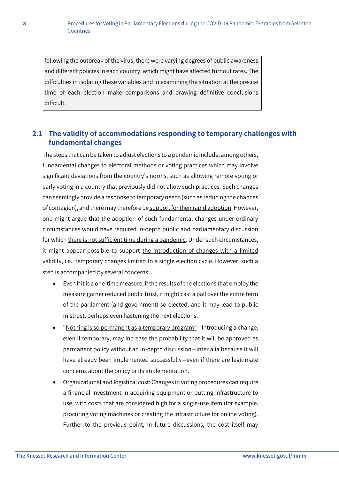following the outbreak of the virus, there were varying degrees of public awareness and different policies in each country, which might have affected turnout rates. The difficulties in isolating these variables and in examining the situation at the precise time of each election make comparisons and drawing definitive conclusions difficult.

# <span id="page-8-0"></span>**2.1 The validity of accommodations responding to temporary challenges with fundamental changes**

The steps that can be taken to adjust elections to a pandemic include, among others, fundamental changes to electoral methods or voting practices which may involve significant deviations from the country's norms, such as allowing remote voting or early voting in a country that previously did not allow such practices. Such changes can seemingly provide a response to temporary needs (such as reducing the chances of contagion), and there may therefore be support for their rapid adoption. However, one might argue that the adoption of such fundamental changes under ordinary circumstances would have required in-depth public and parliamentary discussion for which there is not sufficient time during a pandemic. Under such circumstances, it might appear possible to support the introduction of changes with a limited validity, i.e., temporary changes limited to a single election cycle. However, such a step is accompanied by several concerns:

- Even if it is a one-time measure, if the results of the elections that employ the measure garner reduced public trust, it might cast a pall over the entire term of the parliament (and government) so elected, and it may lead to public mistrust, perhaps even hastening the next elections.
- "Nothing is so permanent as a temporary program"—Introducing a change, even if temporary, may increase the probability that it will be approved as permanent policy without an in-depth discussion—inter alia because it will have already been implemented successfully—even if there are legitimate concerns about the policy or its implementation.
- Organizational and logistical cost: Changes in voting procedures can require a financial investment in acquiring equipment or putting infrastructure to use, with costs that are considered high for a single-use item (for example, procuring voting machines or creating the infrastructure for online voting). Further to the previous point, in future discussions, the cost itself may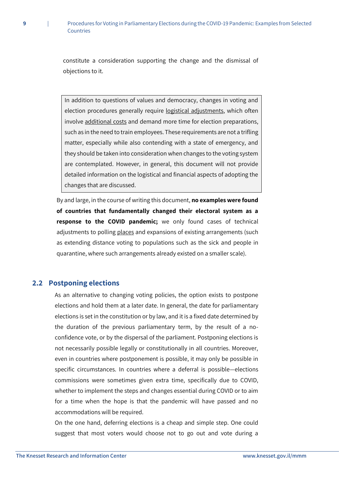constitute a consideration supporting the change and the dismissal of objections to it.

In addition to questions of values and democracy, changes in voting and election procedures generally require logistical adjustments, which often involve additional costs and demand more time for election preparations, such as in the need to train employees. These requirements are not a trifling matter, especially while also contending with a state of emergency, and they should be taken into consideration when changes to the voting system are contemplated. However, in general, this document will not provide detailed information on the logistical and financial aspects of adopting the changes that are discussed.

By and large, in the course of writing this document, **no examples were found of countries that fundamentally changed their electoral system as a response to the COVID pandemic;** we only found cases of technical adjustments to polling places and expansions of existing arrangements (such as extending distance voting to populations such as the sick and people in quarantine, where such arrangements already existed on a smaller scale).

#### <span id="page-9-0"></span>**2.2 Postponing elections**

**9** |

As an alternative to changing voting policies, the option exists to postpone elections and hold them at a later date. In general, the date for parliamentary elections is set in the constitution or by law, and it is a fixed date determined by the duration of the previous parliamentary term, by the result of a noconfidence vote, or by the dispersal of the parliament. Postponing elections is not necessarily possible legally or constitutionally in all countries. Moreover, even in countries where postponement is possible, it may only be possible in specific circumstances. In countries where a deferral is possible—elections commissions were sometimes given extra time, specifically due to COVID, whether to implement the steps and changes essential during COVID or to aim for a time when the hope is that the pandemic will have passed and no accommodations will be required.

On the one hand, deferring elections is a cheap and simple step. One could suggest that most voters would choose not to go out and vote during a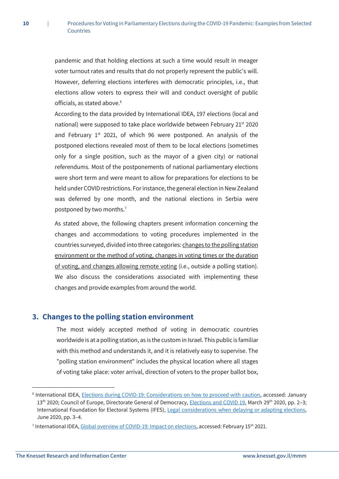pandemic and that holding elections at such a time would result in meager voter turnout rates and results that do not properly represent the public's will. However, deferring elections interferes with democratic principles, i.e., that elections allow voters to express their will and conduct oversight of public officials, as stated above.<sup>6</sup>

According to the data provided by International IDEA, 197 elections (local and national) were supposed to take place worldwide between February 21<sup>st</sup> 2020 and February  $1^{st}$  2021, of which 96 were postponed. An analysis of the postponed elections revealed most of them to be local elections (sometimes only for a single position, such as the mayor of a given city) or national referendums. Most of the postponements of national parliamentary elections were short term and were meant to allow for preparations for elections to be held under COVID restrictions. For instance, the general election in New Zealand was deferred by one month, and the national elections in Serbia were postponed by two months.<sup>7</sup>

As stated above, the following chapters present information concerning the changes and accommodations to voting procedures implemented in the countries surveyed, divided into three categories: changes to the polling station environment or the method of voting, changes in voting times or the duration of voting, and changes allowing remote voting (i.e., outside a polling station). We also discuss the considerations associated with implementing these changes and provide examples from around the world.

#### <span id="page-10-0"></span>**3. Changes to the polling station environment**

The most widely accepted method of voting in democratic countries worldwide is at a polling station, as is the custom in Israel. This public is familiar with this method and understands it, and it is relatively easy to supervise. The "polling station environment" includes the physical location where all stages of voting take place: voter arrival, direction of voters to the proper ballot box,

<sup>&</sup>lt;sup>6</sup> International IDEA, [Elections during COVID-19: Considerations on how to proceed with caution,](https://www.idea.int/news-media/news/elections-during-covid-19-considerations-how-proceed-caution) accessed: January 13<sup>th</sup> 2020; Council of Europe, Directorate General of Democracy, [Elections and COVID](https://rm.coe.int/election-and-covid-19/16809e20fe) 19, March 29<sup>th</sup> 2020, pp. 2–3; International Foundation for Electoral Systems (IFES), [Legal considerations when delaying or adapting elections,](https://www.ifes.org/sites/default/files/ifes_covid-19_briefing_series_legal_considerations_when_delaying_or_adapting_elections_june_2020.pdf) June 2020, pp. 3–4.

<sup>&</sup>lt;sup>7</sup> International IDEA, <u>Global overview of COVID-19: Impact on elections</u>, accessed: February 15<sup>th</sup> 2021.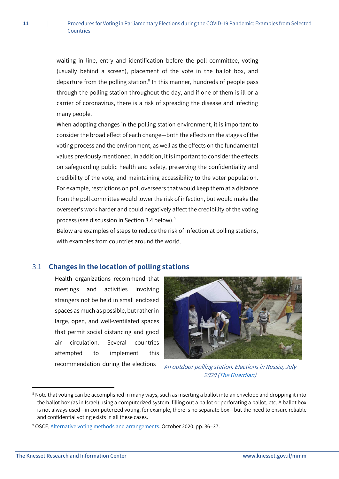waiting in line, entry and identification before the poll committee, voting (usually behind a screen), placement of the vote in the ballot box, and departure from the polling station.<sup>8</sup> In this manner, hundreds of people pass through the polling station throughout the day, and if one of them is ill or a carrier of coronavirus, there is a risk of spreading the disease and infecting many people.

When adopting changes in the polling station environment, it is important to consider the broad effect of each change—both the effects on the stages of the voting process and the environment, as well as the effects on the fundamental values previously mentioned. In addition, it is important to consider the effects on safeguarding public health and safety, preserving the confidentiality and credibility of the vote, and maintaining accessibility to the voter population. For example, restrictions on poll overseers that would keep them at a distance from the poll committee would lower the risk of infection, but would make the overseer's work harder and could negatively affect the credibility of the voting process (see discussion in Section 3.4 below).<sup>9</sup>

Below are examples of steps to reduce the risk of infection at polling stations, with examples from countries around the world.

#### <span id="page-11-0"></span>3.1 **Changes in the location of polling stations**

Health organizations recommend that meetings and activities involving strangers not be held in small enclosed spaces as much as possible, but rather in large, open, and well-ventilated spaces that permit social distancing and good air circulation. Several countries attempted to implement this recommendation during the elections



An outdoor polling station. Elections in Russia, July 2020 [\(The Guardian\)](https://www.theguardian.com/world/2020/jun/26/it-looks-like-a-gameshow-russias-pseudo-vote-on-putins-term-limits)

**.** 

<sup>&</sup>lt;sup>8</sup> Note that voting can be accomplished in many ways, such as inserting a ballot into an envelope and dropping it into the ballot box (as in Israel) using a computerized system, filling out a ballot or perforating a ballot, etc. A ballot box is not always used—in computerized voting, for example, there is no separate box—but the need to ensure reliable and confidential voting exists in all these cases.

<sup>9</sup> OSCE, [Alternative voting methods and arrangements,](https://www.osce.org/odihr/elections/466794) October 2020, pp. 36–37.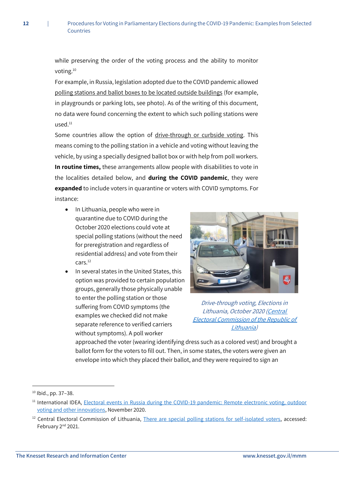while preserving the order of the voting process and the ability to monitor voting.<sup>10</sup>

For example, in Russia, legislation adopted due to the COVID pandemic allowed polling stations and ballot boxes to be located outside buildings (for example, in playgrounds or parking lots, see photo). As of the writing of this document, no data were found concerning the extent to which such polling stations were used.<sup>11</sup>

Some countries allow the option of drive-through or curbside voting. This means coming to the polling station in a vehicle and voting without leaving the vehicle, by using a specially designed ballot box or with help from poll workers. **In routine times,** these arrangements allow people with disabilities to vote in the localities detailed below, and **during the COVID pandemic**, they were **expanded** to include voters in quarantine or voters with COVID symptoms. For instance:

- In Lithuania, people who were in quarantine due to COVID during the October 2020 elections could vote at special polling stations (without the need for preregistration and regardless of residential address) and vote from their cars.<sup>12</sup>
- In several states in the United States, this option was provided to certain population groups, generally those physically unable to enter the polling station or those suffering from COVID symptoms (the examples we checked did not make separate reference to verified carriers without symptoms). A poll worker



Drive-through voting, Elections in [Lithuania, October 2020 \(Central](https://www.vrk.lt/naujienos/-/content/10180/2/saviizoliacijoje-esantiems-rinkejams-%E2%80%93-specialios-balsavimo-vietos)  [Electoral Commission of the Republic of](https://www.vrk.lt/naujienos/-/content/10180/2/saviizoliacijoje-esantiems-rinkejams-%E2%80%93-specialios-balsavimo-vietos)  [Lithuania\)](https://www.vrk.lt/naujienos/-/content/10180/2/saviizoliacijoje-esantiems-rinkejams-%E2%80%93-specialios-balsavimo-vietos)

approached the voter (wearing identifying dress such as a colored vest) and brought a ballot form for the voters to fill out. Then, in some states, the voters were given an envelope into which they placed their ballot, and they were required to sign an

**.** 

<sup>10</sup> Ibid., pp. 37–38.

<sup>&</sup>lt;sup>11</sup> International IDEA, Electoral events in Russia during the COVID-19 pandemic: Remote electronic voting, outdoor [voting and other innovations,](https://www.idea.int/sites/default/files/electoral-events-in-russia-during-the-covid-19-pandemic-remote-electronic-voting-outdoor-voting-and-other-innovations-en.pdf) November 2020.

<sup>&</sup>lt;sup>12</sup> Central Electoral Commission of Lithuania, [There are special polling stations for self-isolated voters,](https://www.vrk.lt/2020naujienos/-/content/10180/4/saviizoliacijoje-esantiems-rinkejams-%E2%80%93-specialios-balsavimo-vietos) accessed: February 2<sup>nd</sup> 2021.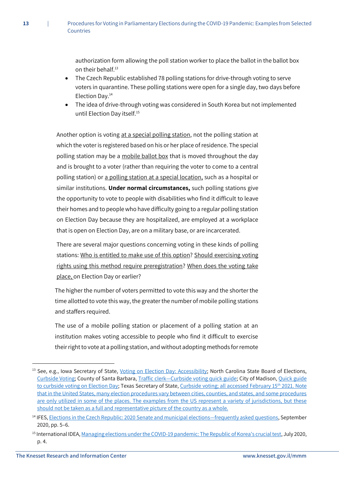authorization form allowing the poll station worker to place the ballot in the ballot box on their behalf.<sup>13</sup>

- The Czech Republic established 78 polling stations for drive-through voting to serve voters in quarantine. These polling stations were open for a single day, two days before Election Day.<sup>14</sup>
- The idea of drive-through voting was considered in South Korea but not implemented until Election Day itself.<sup>15</sup>

Another option is voting at a special polling station, not the polling station at which the voter is registered based on his or her place of residence. The special polling station may be a mobile ballot box that is moved throughout the day and is brought to a voter (rather than requiring the voter to come to a central polling station) or a polling station at a special location, such as a hospital or similar institutions. **Under normal circumstances,** such polling stations give the opportunity to vote to people with disabilities who find it difficult to leave their homes and to people who have difficulty going to a regular polling station on Election Day because they are hospitalized, are employed at a workplace that is open on Election Day, are on a military base, or are incarcerated.

There are several major questions concerning voting in these kinds of polling stations: Who is entitled to make use of this option? Should exercising voting rights using this method require preregistration? When does the voting take place, on Election Day or earlier?

The higher the number of voters permitted to vote this way and the shorter the time allotted to vote this way, the greater the number of mobile polling stations and staffers required.

The use of a mobile polling station or placement of a polling station at an institution makes voting accessible to people who find it difficult to exercise their right to vote at a polling station, and without adopting methods for remote

1

<sup>&</sup>lt;sup>13</sup> See, e.g., Iowa Secretary of State, *Voting on Election Day: Accessibility*; North Carolina State Board of Elections, [Curbside Voting;](https://www.ncsbe.gov/voting/help-voters-disabilities/curbside-voting) County of Santa Barbara, Traffic clerk—[Curbside voting quick guide;](https://countyofsb.org/uploadedFiles/CARE/Elections/Election_Officers/Curbside%20Voting%20Quick%20Guide%20-%20Online.pdf) City of Madison, [Quick guide](https://www.cityofmadison.com/clerk/documents/Quick%20Guide%20to%20Curbside%20Voting.pdf)  [to curbside voting on Election Day;](https://www.cityofmadison.com/clerk/documents/Quick%20Guide%20to%20Curbside%20Voting.pdf) Texas Secretary of State[, Curbside voting;](https://www.sos.state.tx.us/elections/forms/covid/curbside-voting-a-english.pdf) all accessed February 15<sup>th</sup> 2021. Note that in the United States, many election procedures vary between cities, counties, and states, and some procedures are only utilized in some of the places. The examples from the US represent a variety of jurisdictions, but these should not be taken as a full and representative picture of the country as a whole.

<sup>&</sup>lt;sup>14</sup> IFES, **Elections in the Czech Republic: 2020 Senate and municipal elections—frequently asked questions, September** 2020, pp. 5–6.

<sup>15</sup> International IDEA[, Managing elections under the COVID-19 pandemic: The Republic of Korea's crucial test,](https://www.idea.int/sites/default/files/publications/managing-elections-during-pandemic-republic-korea-crucial-test.pdf) July 2020, p. 4.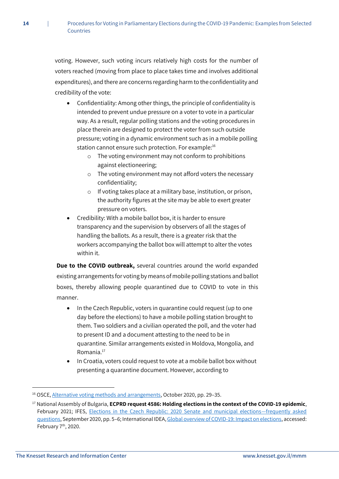voting. However, such voting incurs relatively high costs for the number of voters reached (moving from place to place takes time and involves additional expenditures), and there are concerns regarding harm to the confidentiality and credibility of the vote:

- Confidentiality: Among other things, the principle of confidentiality is intended to prevent undue pressure on a voter to vote in a particular way. As a result, regular polling stations and the voting procedures in place therein are designed to protect the voter from such outside pressure; voting in a dynamic environment such as in a mobile polling station cannot ensure such protection. For example:<sup>16</sup>
	- o The voting environment may not conform to prohibitions against electioneering;
	- o The voting environment may not afford voters the necessary confidentiality;
	- o If voting takes place at a military base, institution, or prison, the authority figures at the site may be able to exert greater pressure on voters.
- Credibility: With a mobile ballot box, it is harder to ensure transparency and the supervision by observers of all the stages of handling the ballots. As a result, there is a greater risk that the workers accompanying the ballot box will attempt to alter the votes within it.

**Due to the COVID outbreak,** several countries around the world expanded existing arrangements for voting by means of mobile polling stations and ballot boxes, thereby allowing people quarantined due to COVID to vote in this manner.

- In the Czech Republic, voters in quarantine could request (up to one day before the elections) to have a mobile polling station brought to them. Two soldiers and a civilian operated the poll, and the voter had to present ID and a document attesting to the need to be in quarantine. Similar arrangements existed in Moldova, Mongolia, and Romania.<sup>17</sup>
- In Croatia, voters could request to vote at a mobile ballot box without presenting a quarantine document. However, according to

<sup>16</sup> OSCE[, Alternative voting methods and arrangements,](https://www.osce.org/odihr/elections/466794) October 2020, pp. 29–35.

<sup>17</sup> National Assembly of Bulgaria, **ECPRD request 4586: Holding elections in the context of the COVID-19 epidemic**, February 2021; IFES, [Elections in the Czech Republic: 2020 Senate and municipal elections](https://www.ifes.org/sites/default/files/ifes_faqs_elections_in_the_czech_republic_2020_senate_and_municipal_elections_september_2020.pdf)—frequently asked [questions,](https://www.ifes.org/sites/default/files/ifes_faqs_elections_in_the_czech_republic_2020_senate_and_municipal_elections_september_2020.pdf) September 2020, pp. 5–6; International IDEA[, Global overview of COVID-19: Impact on elections,](https://www.idea.int/news-media/multimedia-reports/global-overview-covid-19-impact-elections) accessed: February 7th, 2020.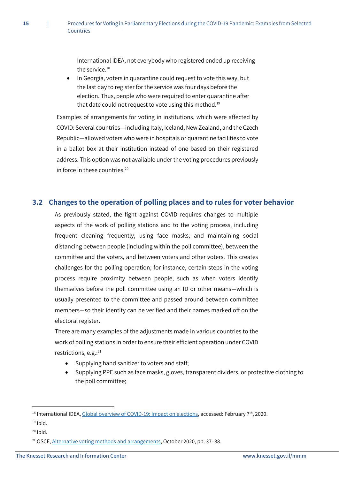International IDEA, not everybody who registered ended up receiving the service.<sup>18</sup>

• In Georgia, voters in quarantine could request to vote this way, but the last day to register for the service was four days before the election. Thus, people who were required to enter quarantine after that date could not request to vote using this method.<sup>19</sup>

Examples of arrangements for voting in institutions, which were affected by COVID: Several countries—including Italy, Iceland, New Zealand, and the Czech Republic—allowed voters who were in hospitals or quarantine facilities to vote in a ballot box at their institution instead of one based on their registered address. This option was not available under the voting procedures previously in force in these countries.<sup>20</sup>

# <span id="page-15-0"></span>**3.2 Changes to the operation of polling places and to rules for voter behavior**

As previously stated, the fight against COVID requires changes to multiple aspects of the work of polling stations and to the voting process, including frequent cleaning frequently; using face masks; and maintaining social distancing between people (including within the poll committee), between the committee and the voters, and between voters and other voters. This creates challenges for the polling operation; for instance, certain steps in the voting process require proximity between people, such as when voters identify themselves before the poll committee using an ID or other means—which is usually presented to the committee and passed around between committee members—so their identity can be verified and their names marked off on the electoral register.

There are many examples of the adjustments made in various countries to the work of polling stations in order to ensure their efficient operation under COVID restrictions, e.g.:<sup>21</sup>

- Supplying hand sanitizer to voters and staff;
- Supplying PPE such as face masks, gloves, transparent dividers, or protective clothing to the poll committee;

<sup>&</sup>lt;sup>18</sup> International IDEA[, Global overview of COVID-19: Impact on elections,](https://www.idea.int/news-media/multimedia-reports/global-overview-covid-19-impact-elections) accessed: February 7<sup>th</sup>, 2020.

 $19$  Ibid.

 $20$  Ibid.

<sup>&</sup>lt;sup>21</sup> OSCE[, Alternative voting methods and arrangements,](https://www.osce.org/odihr/elections/466794) October 2020, pp. 37-38.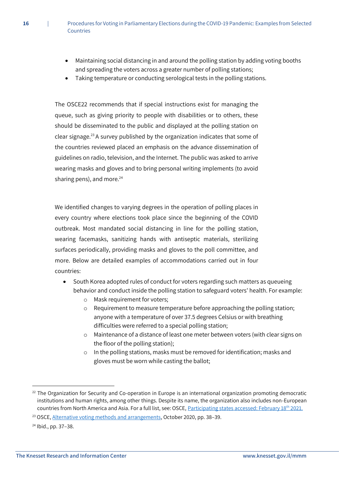- Maintaining social distancing in and around the polling station by adding voting booths and spreading the voters across a greater number of polling stations;
- Taking temperature or conducting serological tests in the polling stations.

The OSCE22 recommends that if special instructions exist for managing the queue, such as giving priority to people with disabilities or to others, these should be disseminated to the public and displayed at the polling station on clear signage.<sup>23</sup> A survey published by the organization indicates that some of the countries reviewed placed an emphasis on the advance dissemination of guidelines on radio, television, and the Internet. The public was asked to arrive wearing masks and gloves and to bring personal writing implements (to avoid sharing pens), and more.<sup>24</sup>

We identified changes to varying degrees in the operation of polling places in every country where elections took place since the beginning of the COVID outbreak. Most mandated social distancing in line for the polling station, wearing facemasks, sanitizing hands with antiseptic materials, sterilizing surfaces periodically, providing masks and gloves to the poll committee, and more. Below are detailed examples of accommodations carried out in four countries:

- South Korea adopted rules of conduct for voters regarding such matters as queueing behavior and conduct inside the polling station to safeguard voters' health. For example:
	- o Mask requirement for voters;
	- o Requirement to measure temperature before approaching the polling station; anyone with a temperature of over 37.5 degrees Celsius or with breathing difficulties were referred to a special polling station;
	- o Maintenance of a distance of least one meter between voters (with clear signs on the floor of the polling station);
	- o In the polling stations, masks must be removed for identification; masks and gloves must be worn while casting the ballot;

 $22$  The Organization for Security and Co-operation in Europe is an international organization promoting democratic institutions and human rights, among other things. Despite its name, the organization also includes non-European countries from North America and Asia. For a full list, see: OSCE[, Participating states](https://www.osce.org/participating-states) accessed: February 18<sup>th</sup> 2021.

<sup>&</sup>lt;sup>23</sup> OSCE, [Alternative voting methods and arrangements,](https://www.osce.org/odihr/elections/466794) October 2020, pp. 38-39.

<sup>24</sup> Ibid., pp. 37–38.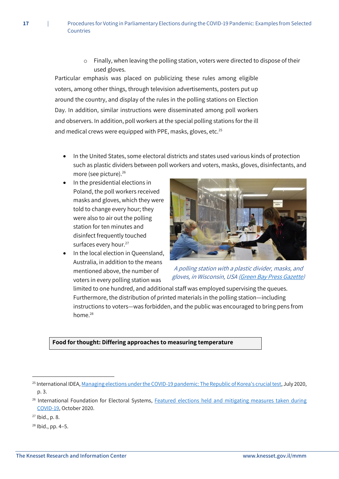$\circ$  Finally, when leaving the polling station, voters were directed to dispose of their used gloves.

Particular emphasis was placed on publicizing these rules among eligible voters, among other things, through television advertisements, posters put up around the country, and display of the rules in the polling stations on Election Day. In addition, similar instructions were disseminated among poll workers and observers. In addition, poll workers at the special polling stations for the ill and medical crews were equipped with PPE, masks, gloves, etc.<sup>25</sup>

- In the United States, some electoral districts and states used various kinds of protection such as plastic dividers between poll workers and voters, masks, gloves, disinfectants, and more (see picture).<sup>26</sup>
- In the presidential elections in Poland, the poll workers received masks and gloves, which they were told to change every hour; they were also to air out the polling station for ten minutes and disinfect frequently touched surfaces every hour.<sup>27</sup>
- In the local election in Queensland, Australia, in addition to the means mentioned above, the number of voters in every polling station was



A polling station with a plastic divider, masks, and gloves, in Wisconsin, USA [\(Green Bay Press Gazette\)](https://www.greenbaypressgazette.com/story/news/local/oconto-county/2020/04/10/election-day-oconto-county-amid-coronavirus-pandemic/5129363002/)

limited to one hundred, and additional staff was employed supervising the queues. Furthermore, the distribution of printed materials in the polling station—including instructions to voters—was forbidden, and the public was encouraged to bring pens from home.<sup>28</sup>

#### **Food for thought: Differing approaches to measuring temperature**

 $27$  Ibid., p. 8.

**.** 

<sup>28</sup> Ibid., pp. 4–5.

<sup>&</sup>lt;sup>25</sup> International IDEA[, Managing elections under the COVID-19 pandemic: The Republic of Korea's crucial test,](https://www.idea.int/sites/default/files/publications/managing-elections-during-pandemic-republic-korea-crucial-test.pdf) July 2020, p. 3.

<sup>&</sup>lt;sup>26</sup> International Foundation for Electoral Systems, Featured elections held and mitigating measures taken during [COVID-19,](https://www.ifes.org/sites/default/files/elections_held_and_mitigating_measures_taken_during_covid-19.pdf) October 2020.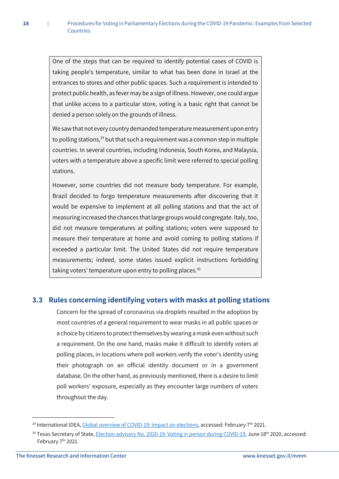One of the steps that can be required to identify potential cases of COVID is taking people's temperature, similar to what has been done in Israel at the entrances to stores and other public spaces. Such a requirement is intended to protect public health, as fever may be a sign of illness. However, one could argue that unlike access to a particular store, voting is a basic right that cannot be denied a person solely on the grounds of illness.

We saw that not every country demanded temperature measurement upon entry to polling stations,<sup>29</sup> but that such a requirement was a common step in multiple countries. In several countries, including Indonesia, South Korea, and Malaysia, voters with a temperature above a specific limit were referred to special polling stations.

However, some countries did not measure body temperature. For example, Brazil decided to forgo temperature measurements after discovering that it would be expensive to implement at all polling stations and that the act of measuring increased the chances that large groups would congregate. Italy, too, did not measure temperatures at polling stations; voters were supposed to measure their temperature at home and avoid coming to polling stations if exceeded a particular limit. The United States did not require temperature measurements; indeed, some states issued explicit instructions forbidding taking voters' temperature upon entry to polling places.<sup>30</sup>

#### <span id="page-18-0"></span>**3.3 Rules concerning identifying voters with masks at polling stations**

Concern for the spread of coronavirus via droplets resulted in the adoption by most countries of a general requirement to wear masks in all public spaces or a choice by citizens to protect themselves by wearing a mask even without such a requirement. On the one hand, masks make it difficult to identify voters at polling places, in locations where poll workers verify the voter's identity using their photograph on an official identity document or in a government database. On the other hand, as previously mentioned, there is a desire to limit poll workers' exposure, especially as they encounter large numbers of voters throughout the day.

<sup>&</sup>lt;sup>29</sup> International IDEA[, Global overview of COVID-19: Impact on elections,](https://www.idea.int/news-media/multimedia-reports/global-overview-covid-19-impact-elections) accessed: February 7<sup>th</sup> 2021.

<sup>&</sup>lt;sup>30</sup> Texas Secretary of State[, Election advisory No. 2020-19: Voting in person during COVID-19,](https://www.sos.state.tx.us/elections/laws/advisory2020-19.shtml) June 18<sup>th</sup> 2020, accessed: February 7<sup>th</sup> 2021.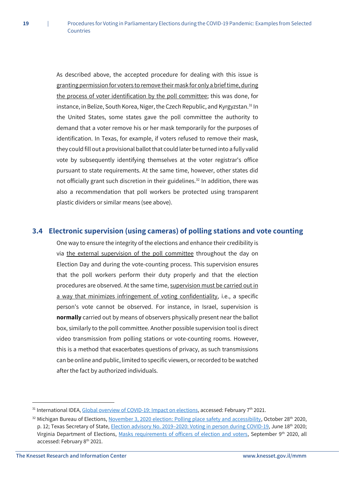As described above, the accepted procedure for dealing with this issue is granting permission for voters to remove their mask for only a brief time, during the process of voter identification by the poll committee; this was done, for instance, in Belize, South Korea, Niger, the Czech Republic, and Kyrgyzstan.<sup>31</sup> In the United States, some states gave the poll committee the authority to demand that a voter remove his or her mask temporarily for the purposes of identification. In Texas, for example, if voters refused to remove their mask, they could fill out a provisional ballot that could later be turned into a fully valid vote by subsequently identifying themselves at the voter registrar's office pursuant to state requirements. At the same time, however, other states did not officially grant such discretion in their guidelines.<sup>32</sup> In addition, there was also a recommendation that poll workers be protected using transparent plastic dividers or similar means (see above).

#### <span id="page-19-0"></span>**3.4 Electronic supervision (using cameras) of polling stations and vote counting**

One way to ensure the integrity of the elections and enhance their credibility is via the external supervision of the poll committee throughout the day on Election Day and during the vote-counting process. This supervision ensures that the poll workers perform their duty properly and that the election procedures are observed. At the same time, supervision must be carried out in a way that minimizes infringement of voting confidentiality, i.e., a specific person's vote cannot be observed. For instance, in Israel, supervision is **normally** carried out by means of observers physically present near the ballot box, similarly to the poll committee. Another possible supervision tool is direct video transmission from polling stations or vote-counting rooms. However, this is a method that exacerbates questions of privacy, as such transmissions can be online and public, limited to specific viewers, or recorded to be watched after the fact by authorized individuals.

<sup>&</sup>lt;sup>31</sup> International IDEA[, Global overview of COVID-19: Impact on elections,](https://www.idea.int/news-media/multimedia-reports/global-overview-covid-19-impact-elections) accessed: February 7<sup>th</sup> 2021.

<sup>32</sup> Michigan Bureau of Elections[, November 3, 2020 election: Polling place safety and accessibility,](https://www.michigan.gov/documents/sos/Michigan_BOE_Safe_Election_Guidelines_10_16_2020_705272_7.pdf) October 28th 2020, p. 12; Texas Secretary of State, Election advisory No. 2019-[2020: Voting in person during COVID-19,](https://www.sos.state.tx.us/elections/laws/advisory2020-19.shtml) June 18th 2020; Virginia Department of Elections, [Masks requirements of officers of election and voters,](https://www.vdh.virginia.gov/content/uploads/sites/17/2020/10/ELECT-Guidance-Covid-Safety.pdf) September 9<sup>th</sup> 2020, all accessed: February 8th 2021.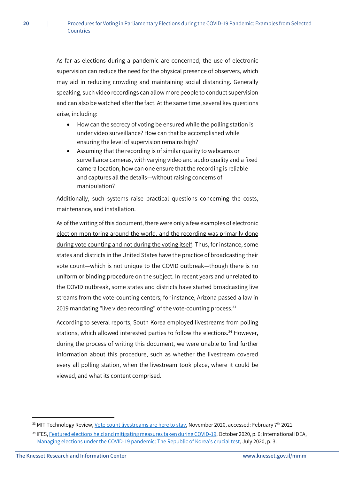As far as elections during a pandemic are concerned, the use of electronic supervision can reduce the need for the physical presence of observers, which may aid in reducing crowding and maintaining social distancing. Generally speaking, such video recordings can allow more people to conduct supervision and can also be watched after the fact. At the same time, several key questions arise, including:

- How can the secrecy of voting be ensured while the polling station is under video surveillance? How can that be accomplished while ensuring the level of supervision remains high?
- Assuming that the recording is of similar quality to webcams or surveillance cameras, with varying video and audio quality and a fixed camera location, how can one ensure that the recording is reliable and captures all the details—without raising concerns of manipulation?

Additionally, such systems raise practical questions concerning the costs, maintenance, and installation.

As of the writing of this document, there were only a few examples of electronic election monitoring around the world, and the recording was primarily done during vote counting and not during the voting itself. Thus, for instance, some states and districts in the United States have the practice of broadcasting their vote count—which is not unique to the COVID outbreak—though there is no uniform or binding procedure on the subject. In recent years and unrelated to the COVID outbreak, some states and districts have started broadcasting live streams from the vote-counting centers; for instance, Arizona passed a law in 2019 mandating "live video recording" of the vote-counting process.<sup>33</sup>

According to several reports, South Korea employed livestreams from polling stations, which allowed interested parties to follow the elections.<sup>34</sup> However, during the process of writing this document, we were unable to find further information about this procedure, such as whether the livestream covered every all polling station, when the livestream took place, where it could be viewed, and what its content comprised.

<sup>&</sup>lt;sup>33</sup> MIT Technology Review[, Vote count livestreams are here to stay,](https://www.technologyreview.com/2020/11/04/1011648/livestream-vote-counts-are-here-to-stay/) November 2020, accessed: February 7<sup>th</sup> 2021.

<sup>34</sup> IFES[, Featured elections held and mitigating measures taken during COVID-19,](https://www.ifes.org/sites/default/files/elections_held_and_mitigating_measures_taken_during_covid-19.pdf) October 2020, p. 6; International IDEA, [Managing elections under the COVID-19 pandemic: The Republic of Korea's crucial test,](https://www.idea.int/sites/default/files/publications/managing-elections-during-pandemic-republic-korea-crucial-test.pdf) July 2020, p. 3.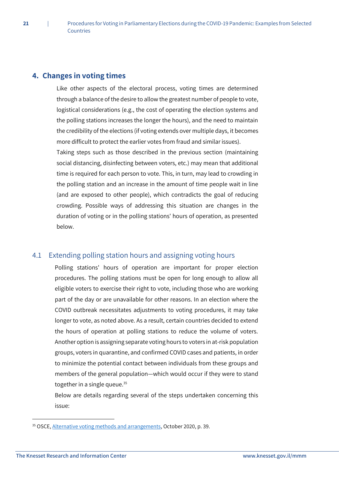# <span id="page-21-0"></span>**4. Changes in voting times**

**21** |

Like other aspects of the electoral process, voting times are determined through a balance of the desire to allow the greatest number of people to vote, logistical considerations (e.g., the cost of operating the election systems and the polling stations increases the longer the hours), and the need to maintain the credibility of the elections (if voting extends over multiple days, it becomes more difficult to protect the earlier votes from fraud and similar issues).

Taking steps such as those described in the previous section (maintaining social distancing, disinfecting between voters, etc.) may mean that additional time is required for each person to vote. This, in turn, may lead to crowding in the polling station and an increase in the amount of time people wait in line (and are exposed to other people), which contradicts the goal of reducing crowding. Possible ways of addressing this situation are changes in the duration of voting or in the polling stations' hours of operation, as presented below.

# <span id="page-21-1"></span>4.1 Extending polling station hours and assigning voting hours

Polling stations' hours of operation are important for proper election procedures. The polling stations must be open for long enough to allow all eligible voters to exercise their right to vote, including those who are working part of the day or are unavailable for other reasons. In an election where the COVID outbreak necessitates adjustments to voting procedures, it may take longer to vote, as noted above. As a result, certain countries decided to extend the hours of operation at polling stations to reduce the volume of voters. Another option is assigning separate voting hours to voters in at-risk population groups, voters in quarantine, and confirmed COVID cases and patients, in order to minimize the potential contact between individuals from these groups and members of the general population—which would occur if they were to stand together in a single queue.<sup>35</sup>

Below are details regarding several of the steps undertaken concerning this issue:

<sup>35</sup> OSCE, [Alternative voting methods and arrangements,](https://www.osce.org/odihr/elections/466794) October 2020, p. 39.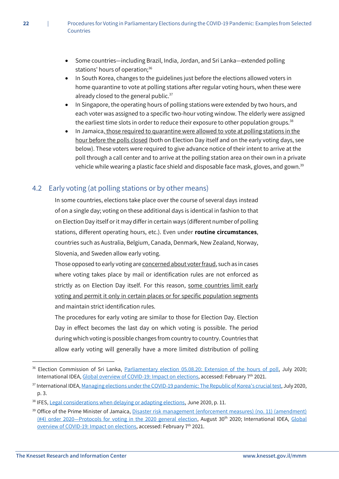- Some countries—including Brazil, India, Jordan, and Sri Lanka—extended polling stations' hours of operation;<sup>36</sup>
- In South Korea, changes to the guidelines just before the elections allowed voters in home quarantine to vote at polling stations after regular voting hours, when these were already closed to the general public. $37$
- In Singapore, the operating hours of polling stations were extended by two hours, and each voter was assigned to a specific two-hour voting window. The elderly were assigned the earliest time slots in order to reduce their exposure to other population groups.<sup>38</sup>
- In Jamaica, those required to quarantine were allowed to vote at polling stations in the hour before the polls closed (both on Election Day itself and on the early voting days, see below). These voters were required to give advance notice of their intent to arrive at the poll through a call center and to arrive at the polling station area on their own in a private vehicle while wearing a plastic face shield and disposable face mask, gloves, and gown.<sup>39</sup>

# <span id="page-22-0"></span>4.2 Early voting (at polling stations or by other means)

In some countries, elections take place over the course of several days instead of on a single day; voting on these additional days is identical in fashion to that on Election Day itself or it may differ in certain ways (different number of polling stations, different operating hours, etc.). Even under **routine circumstances**, countries such as Australia, Belgium, Canada, Denmark, New Zealand, Norway, Slovenia, and Sweden allow early voting.

Those opposed to early voting are concerned about voter fraud, such as in cases where voting takes place by mail or identification rules are not enforced as strictly as on Election Day itself. For this reason, some countries limit early voting and permit it only in certain places or for specific population segments and maintain strict identification rules.

The procedures for early voting are similar to those for Election Day. Election Day in effect becomes the last day on which voting is possible. The period during which voting is possible changes from country to country. Countries that allow early voting will generally have a more limited distribution of polling

1

<sup>&</sup>lt;sup>36</sup> Election Commission of Sri Lanka, [Parliamentary election 05.08.20:](https://elections.gov.lk/web/wp-content/uploads/media-release/PE_2020_MR_38_E.pdf) Extension of the hours of poll, July 2020; International IDEA[, Global overview of COVID-19: Impact on elections,](https://www.idea.int/news-media/multimedia-reports/global-overview-covid-19-impact-elections) accessed: February 7th 2021.

<sup>37</sup> International IDEA[, Managing elections under the COVID-19 pandemic: The Republic of Korea's crucial test,](https://www.idea.int/sites/default/files/publications/managing-elections-during-pandemic-republic-korea-crucial-test.pdf) July 2020, p. 3.

<sup>&</sup>lt;sup>38</sup> IFES[, Legal considerations when delaying or adapting elections,](https://www.ifes.org/sites/default/files/ifes_covid-19_briefing_series_legal_considerations_when_delaying_or_adapting_elections_june_2020.pdf) June 2020, p. 11.

<sup>&</sup>lt;sup>39</sup> Office of the Prime Minister of Jamaica, Disaster risk management (enforcement measures) (no. 11) (amendment) (#4) order 2020—[Protocols for voting in the 2020 general election,](https://jis.gov.jm/media/2020/08/DRM-Protocols-for-Voting-in-2020-General-Elections-pdf.pdf) August 30<sup>th</sup> 2020; International IDEA, Global [overview of COVID-19: Impact on elections,](https://www.idea.int/news-media/multimedia-reports/global-overview-covid-19-impact-elections) accessed: February 7th 2021.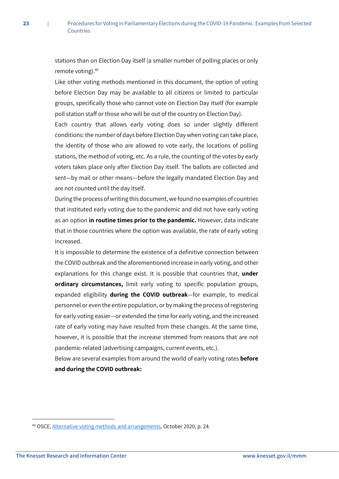stations than on Election Day itself (a smaller number of polling places or only remote voting).<sup>40</sup>

Like other voting methods mentioned in this document, the option of voting before Election Day may be available to all citizens or limited to particular groups, specifically those who cannot vote on Election Day itself (for example poll station staff or those who will be out of the country on Election Day).

Each country that allows early voting does so under slightly different conditions: the number of days before Election Day when voting can take place, the identity of those who are allowed to vote early, the locations of polling stations, the method of voting, etc. As a rule, the counting of the votes by early voters takes place only after Election Day itself. The ballots are collected and sent—by mail or other means—before the legally mandated Election Day and are not counted until the day itself.

During the process of writing this document, we found no examples of countries that instituted early voting due to the pandemic and did not have early voting as an option **in routine times prior to the pandemic.** However, data indicate that in those countries where the option was available, the rate of early voting increased.

It is impossible to determine the existence of a definitive connection between the COVID outbreak and the aforementioned increase in early voting, and other explanations for this change exist. It is possible that countries that, **under ordinary circumstances,** limit early voting to specific population groups, expanded eligibility **during the COVID outbreak**—for example, to medical personnel or even the entire population, or by making the process of registering for early voting easier—or extended the time for early voting, and the increased rate of early voting may have resulted from these changes. At the same time, however, it is possible that the increase stemmed from reasons that are not pandemic-related (advertising campaigns, current events, etc.).

Below are several examples from around the world of early voting rates **before and during the COVID outbreak:**

<sup>40</sup> OSCE, [Alternative voting methods and arrangements,](https://www.osce.org/odihr/elections/466794) October 2020, p. 24.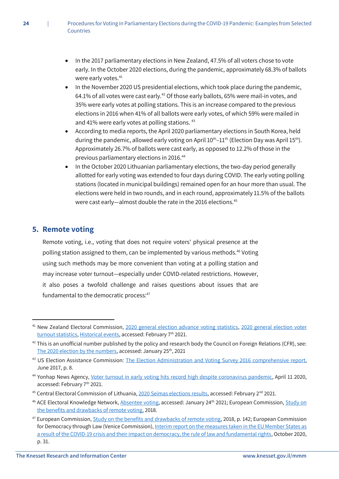- In the 2017 parliamentary elections in New Zealand, 47.5% of all voters chose to vote early. In the October 2020 elections, during the pandemic, approximately 68.3% of ballots were early votes.<sup>41</sup>
- In the November 2020 US presidential elections, which took place during the pandemic, 64.1% of all votes were cast early.<sup>42</sup> Of those early ballots, 65% were mail-in votes, and 35% were early votes at polling stations. This is an increase compared to the previous elections in 2016 when 41% of all ballots were early votes, of which 59% were mailed in and 41% were early votes at polling stations. 43
- According to media reports, the April 2020 parliamentary elections in South Korea, held during the pandemic, allowed early voting on April  $10^{th}-11^{th}$  (Election Day was April  $15^{th}$ ). Approximately 26.7% of ballots were cast early, as opposed to 12.2% of those in the previous parliamentary elections in 2016.<sup>44</sup>
- In the October 2020 Lithuanian parliamentary elections, the two-day period generally allotted for early voting was extended to four days during COVID. The early voting polling stations (located in municipal buildings) remained open for an hour more than usual. The elections were held in two rounds, and in each round, approximately 11.5% of the ballots were cast early-almost double the rate in the 2016 elections.<sup>45</sup>

# <span id="page-24-0"></span>**5. Remote voting**

**.** 

Remote voting, i.e., voting that does not require voters' physical presence at the polling station assigned to them, can be implemented by various methods.<sup>46</sup> Voting using such methods may be more convenient than voting at a polling station and may increase voter turnout—especially under COVID-related restrictions. However, it also poses a twofold challenge and raises questions about issues that are fundamental to the democratic process: $47$ 

<sup>41</sup> New Zealand Electoral Commission, [2020 general election advance voting statistics,](https://elections.nz/stats-and-research/2020-general-election-advance-voting-statistics/) [2020 general election voter](https://elections.nz/stats-and-research/2020-general-election-voter-turnout-statistics/)  [turnout statistics,](https://elections.nz/stats-and-research/2020-general-election-voter-turnout-statistics/) [Historical events,](https://elections.nz/democracy-in-nz/historical-events/) accessed: February 7<sup>th</sup> 2021.

 $42$  This is an unofficial number published by the policy and research body the Council on Foreign Relations (CFR), see: [The 2020 election by the numbers,](https://www.cfr.org/blog/2020-election-numbers) accessed: January 25<sup>th</sup>, 2021

<sup>43</sup> US Election Assistance Commission: [The Election Administration and Voting Survey 2016 comprehensive report,](https://www.eac.gov/sites/default/files/eac_assets/1/6/2016_EAVS_Comprehensive_Report.pdf) June 2017, p. 8.

<sup>44</sup> Yonhap News Agency, [Voter turnout in early voting hits record high despite coronavirus pandemic,](https://en.yna.co.kr/view/AEN20200411001251315) April 11 2020, accessed: February 7th 2021.

<sup>45</sup> Central Electoral Commission of Lithuania[, 2020 Seimas elections results,](https://www.vrk.lt/2020-seimo/rezultatai) accessed: February 2<sup>nd</sup> 2021.

<sup>&</sup>lt;sup>46</sup> ACE Electoral Knowledge Network[, Absentee voting,](https://aceproject.org/main/english/em/eme10.htm) accessed: January 24<sup>th</sup> 2021; European Commission, Study on [the benefits and drawbacks of remote voting,](https://ec.europa.eu/info/policies/justice-and-fundamental-rights/eu-citizenship/electoral-rights/studies/study-benefits-and-drawbacks-remote-voting_en) 2018.

<sup>&</sup>lt;sup>47</sup> European Commission[, Study on the benefits and drawbacks of remote voting,](https://ec.europa.eu/info/policies/justice-and-fundamental-rights/eu-citizenship/electoral-rights/studies/study-benefits-and-drawbacks-remote-voting_en) 2018, p. 142; European Commission for Democracy through Law (Venice Commission), Interim report on the [measures taken in the EU](https://www.venice.coe.int/webforms/documents/default.aspx?pdffile=CDL-AD(2020)018-e) Member States as [a result of the COVID-19 crisis and their impact on democracy, the rule of law and fundamental rights,](https://www.venice.coe.int/webforms/documents/default.aspx?pdffile=CDL-AD(2020)018-e) October 2020, p. 31.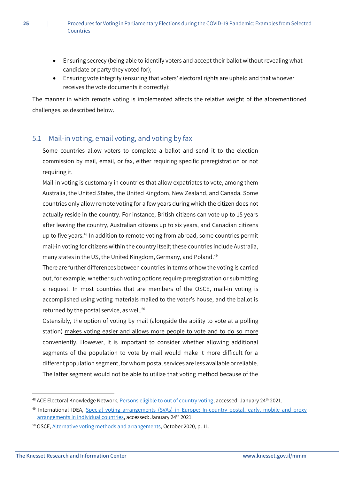- Ensuring secrecy (being able to identify voters and accept their ballot without revealing what candidate or party they voted for);
- Ensuring vote integrity (ensuring that voters' electoral rights are upheld and that whoever receives the vote documents it correctly);

The manner in which remote voting is implemented affects the relative weight of the aforementioned challenges, as described below.

# <span id="page-25-0"></span>5.1 Mail-in voting, email voting, and voting by fax

Some countries allow voters to complete a ballot and send it to the election commission by mail, email, or fax, either requiring specific preregistration or not requiring it.

Mail-in voting is customary in countries that allow expatriates to vote, among them Australia, the United States, the United Kingdom, New Zealand, and Canada. Some countries only allow remote voting for a few years during which the citizen does not actually reside in the country. For instance, British citizens can vote up to 15 years after leaving the country, Australian citizens up to six years, and Canadian citizens up to five years.<sup>48</sup> In addition to remote voting from abroad, some countries permit mail-in voting for citizens within the country itself; these countries include Australia, many states in the US, the United Kingdom, Germany, and Poland.<sup>49</sup>

There are further differences between countries in terms of how the voting is carried out, for example, whether such voting options require preregistration or submitting a request. In most countries that are members of the OSCE, mail-in voting is accomplished using voting materials mailed to the voter's house, and the ballot is returned by the postal service, as well.<sup>50</sup>

Ostensibly, the option of voting by mail (alongside the ability to vote at a polling station) makes voting easier and allows more people to vote and to do so more conveniently. However, it is important to consider whether allowing additional segments of the population to vote by mail would make it more difficult for a different population segment, for whom postal services are less available or reliable. The latter segment would not be able to utilize that voting method because of the

<sup>&</sup>lt;sup>48</sup> ACE Electoral Knowledge Network, [Persons eligible to out of country voting,](https://aceproject.org/ace-en/topics/va/comparative-review/persons-eligible-to-vote-from-abroad) accessed: January 24<sup>th</sup> 2021.

<sup>49</sup> International IDEA, [Special voting arrangements \(SVAs\) in Europe: In-country postal, early, mobile and proxy](https://www.idea.int/news-media/news/special-voting-arrangements-svas-europe-country-postal-early-mobile-and-proxy)  [arrangements in individual countries,](https://www.idea.int/news-media/news/special-voting-arrangements-svas-europe-country-postal-early-mobile-and-proxy) accessed: January 24<sup>th</sup> 2021.

<sup>50</sup> OSCE, [Alternative voting methods and arrangements,](https://www.osce.org/odihr/elections/466794) October 2020, p. 11.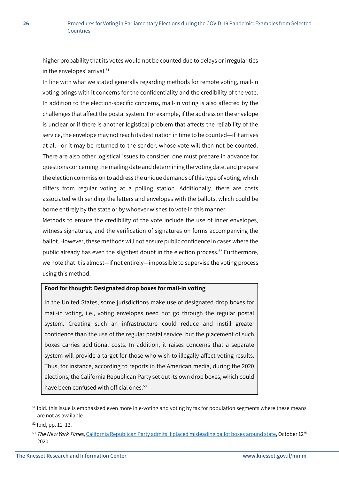higher probability that its votes would not be counted due to delays or irregularities in the envelopes' arrival.<sup>51</sup>

In line with what we stated generally regarding methods for remote voting, mail-in voting brings with it concerns for the confidentiality and the credibility of the vote. In addition to the election-specific concerns, mail-in voting is also affected by the challenges that affect the postal system. For example, if the address on the envelope is unclear or if there is another logistical problem that affects the reliability of the service, the envelope may not reach its destination in time to be counted—if it arrives at all—or it may be returned to the sender, whose vote will then not be counted. There are also other logistical issues to consider: one must prepare in advance for questions concerning the mailing date and determining the voting date, and prepare the election commission to address the unique demands of this type of voting, which differs from regular voting at a polling station. Additionally, there are costs associated with sending the letters and envelopes with the ballots, which could be borne entirely by the state or by whoever wishes to vote in this manner.

Methods to ensure the credibility of the vote include the use of inner envelopes, witness signatures, and the verification of signatures on forms accompanying the ballot. However, these methods will not ensure public confidence in cases where the public already has even the slightest doubt in the election process.<sup>52</sup> Furthermore, we note that it is almost—if not entirely—impossible to supervise the voting process using this method.

#### **Food for thought: Designated drop boxes for mail-in voting**

In the United States, some jurisdictions make use of designated drop boxes for mail-in voting, i.e., voting envelopes need not go through the regular postal system. Creating such an infrastructure could reduce and instill greater confidence than the use of the regular postal service, but the placement of such boxes carries additional costs. In addition, it raises concerns that a separate system will provide a target for those who wish to illegally affect voting results. Thus, for instance, according to reports in the American media, during the 2020 elections, the California Republican Party set out its own drop boxes, which could have been confused with official ones.<sup>53</sup>

 $51$  lbid, this issue is emphasized even more in e-voting and voting by fax for population segments where these means are not as available

<sup>52</sup> Ibid, pp. 11–12.

<sup>53</sup> The New York Times[, California Republican Party admits it placed misleading ballot boxes around state,](https://www.nytimes.com/2020/10/12/us/politics/california-gop-drop-boxes.html) October 12<sup>th</sup> 2020.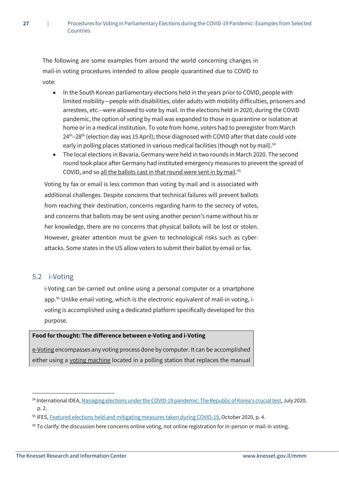The following are some examples from around the world concerning changes in mail-in voting procedures intended to allow people quarantined due to COVID to vote:

- In the South Korean parliamentary elections held in the years prior to COVID, people with limited mobility—people with disabilities, older adults with mobility difficulties, prisoners and arrestees, etc.--were allowed to vote by mail. In the elections held in 2020, during the COVID pandemic, the option of voting by mail was expanded to those in quarantine or isolation at home or in a medical institution. To vote from home, voters had to preregister from March  $24<sup>th</sup> - 28<sup>th</sup>$  (election day was 15 April); those diagnosed with COVID after that date could vote early in polling places stationed in various medical facilities (though not by mail).<sup>54</sup>
- The local elections in Bavaria, Germany were held in two rounds in March 2020. The second round took place after Germany had instituted emergency measures to prevent the spread of COVID, and so <u>all the ballots cast in that round were sent in by mail.</u><sup>55</sup>

Voting by fax or email is less common than voting by mail and is associated with additional challenges. Despite concerns that technical failures will prevent ballots from reaching their destination, concerns regarding harm to the secrecy of votes, and concerns that ballots may be sent using another person's name without his or her knowledge, there are no concerns that physical ballots will be lost or stolen. However, greater attention must be given to technological risks such as cyberattacks. Some states in the US allow voters to submit their ballot by email or fax.

#### <span id="page-27-0"></span>5.2 i-Voting

**.** 

i-Voting can be carried out online using a personal computer or a smartphone app.<sup>56</sup> Unlike email voting, which is the electronic equivalent of mail-in voting, ivoting is accomplished using a dedicated platform specifically developed for this purpose.

#### **Food for thought: The difference between e-Voting and i-Voting**

e-Voting encompasses any voting process done by computer. It can be accomplished either using a voting machine located in a polling station that replaces the manual

<sup>&</sup>lt;sup>54</sup> International IDEA[, Managing elections under the COVID-19 pandemic: The Republic of Korea's crucial test,](https://www.idea.int/sites/default/files/publications/managing-elections-during-pandemic-republic-korea-crucial-test.pdf) July 2020, p. 2.

<sup>&</sup>lt;sup>55</sup> IFES, **Featured elections held and mitigating measures taken during COVID-19, October 2020, p. 4.** 

<sup>&</sup>lt;sup>56</sup> To clarify: the discussion here concerns online voting, not online registration for in-person or mail-in voting.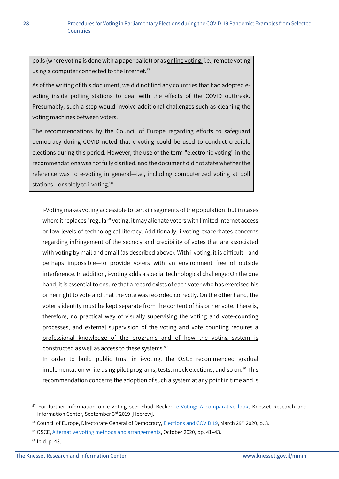polls (where voting is done with a paper ballot) or as online voting, i.e., remote voting using a computer connected to the Internet.<sup>57</sup>

As of the writing of this document, we did not find any countries that had adopted evoting inside polling stations to deal with the effects of the COVID outbreak. Presumably, such a step would involve additional challenges such as cleaning the voting machines between voters.

The recommendations by the Council of Europe regarding efforts to safeguard democracy during COVID noted that e-voting could be used to conduct credible elections during this period. However, the use of the term "electronic voting" in the recommendations was not fully clarified, and the document did not state whether the reference was to e-voting in general—i.e., including computerized voting at poll stations—or solely to i-voting.<sup>58</sup>

i-Voting makes voting accessible to certain segments of the population, but in cases where it replaces "regular" voting, it may alienate voters with limited Internet access or low levels of technological literacy. Additionally, i-voting exacerbates concerns regarding infringement of the secrecy and credibility of votes that are associated with voting by mail and email (as described above). With i-voting, it is difficult-and perhaps impossible—to provide voters with an environment free of outside interference. In addition, i-voting adds a special technological challenge: On the one hand, it is essential to ensure that a record exists of each voter who has exercised his or her right to vote and that the vote was recorded correctly. On the other hand, the voter's identity must be kept separate from the content of his or her vote. There is, therefore, no practical way of visually supervising the voting and vote-counting processes, and external supervision of the voting and vote counting requires a professional knowledge of the programs and of how the voting system is constructed as well as access to these systems. 59

In order to build public trust in i-voting, the OSCE recommended gradual implementation while using pilot programs, tests, mock elections, and so on. $60$  This recommendation concerns the adoption of such a system at any point in time and is

<sup>&</sup>lt;sup>57</sup> For further information on e-Voting see: Ehud Becker, e-Voting: A [comparative look,](https://m.knesset.gov.il/Activity/Info/MMM/Pages/document.aspx?docId=546ff390-bc86-e911-80fb-00155d0a754a&businessType=1) Knesset Research and Information Center, September 3rd 2019 [Hebrew].

<sup>58</sup> Council of Europe, Directorate General of Democracy, *Elections and COVID 19*, March 29<sup>th</sup> 2020, p. 3.

<sup>59</sup> OSCE, [Alternative voting methods and arrangements,](https://www.osce.org/odihr/elections/466794) October 2020, pp. 41–43.

 $60$  Ibid, p. 43.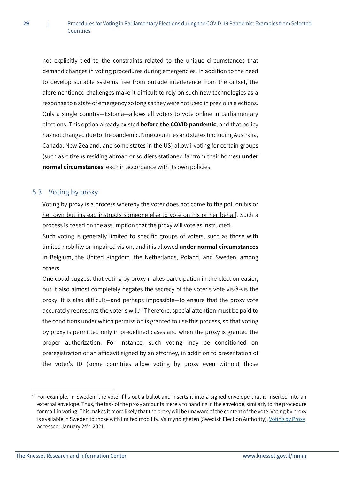not explicitly tied to the constraints related to the unique circumstances that demand changes in voting procedures during emergencies. In addition to the need to develop suitable systems free from outside interference from the outset, the aforementioned challenges make it difficult to rely on such new technologies as a response to a state of emergency so long as they were not used in previous elections. Only a single country—Estonia—allows all voters to vote online in parliamentary elections. This option already existed **before the COVID pandemic**, and that policy has not changed due to the pandemic. Nine countries and states (including Australia, Canada, New Zealand, and some states in the US) allow i-voting for certain groups (such as citizens residing abroad or soldiers stationed far from their homes) **under normal circumstances**, each in accordance with its own policies.

# <span id="page-29-0"></span>5.3 Voting by proxy

Voting by proxy is a process whereby the voter does not come to the poll on his or her own but instead instructs someone else to vote on his or her behalf. Such a process is based on the assumption that the proxy will vote as instructed.

Such voting is generally limited to specific groups of voters, such as those with limited mobility or impaired vision, and it is allowed **under normal circumstances** in Belgium, the United Kingdom, the Netherlands, Poland, and Sweden, among others.

One could suggest that voting by proxy makes participation in the election easier, but it also almost completely negates the secrecy of the voter's vote vis-à-vis the proxy. It is also difficult—and perhaps impossible—to ensure that the proxy vote accurately represents the voter's will.<sup>61</sup> Therefore, special attention must be paid to the conditions under which permission is granted to use this process, so that voting by proxy is permitted only in predefined cases and when the proxy is granted the proper authorization. For instance, such voting may be conditioned on preregistration or an affidavit signed by an attorney, in addition to presentation of the voter's ID (some countries allow voting by proxy even without those

 $61$  For example, in Sweden, the voter fills out a ballot and inserts it into a signed envelope that is inserted into an external envelope. Thus, the task of the proxy amounts merely to handing in the envelope, similarly to the procedure for mail-in voting. This makes it more likely that the proxy will be unaware of the content of the vote. Voting by proxy is available in Sweden to those with limited mobility. Valmyndigheten (Swedish Election Authority)[, Voting by Proxy](https://www.val.se/servicelankar/other-languages/english-engelska/to-vote/voting-by-proxy.html), accessed: January 24<sup>th</sup>, 2021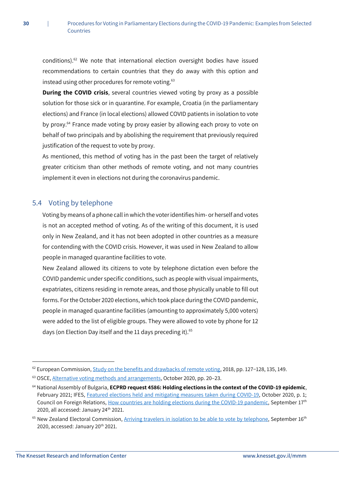conditions). $62$  We note that international election oversight bodies have issued recommendations to certain countries that they do away with this option and instead using other procedures for remote voting.<sup>63</sup>

**During the COVID crisis**, several countries viewed voting by proxy as a possible solution for those sick or in quarantine. For example, Croatia (in the parliamentary elections) and France (in local elections) allowed COVID patients in isolation to vote by proxy.<sup>64</sup> France made voting by proxy easier by allowing each proxy to vote on behalf of two principals and by abolishing the requirement that previously required justification of the request to vote by proxy.

As mentioned, this method of voting has in the past been the target of relatively greater criticism than other methods of remote voting, and not many countries implement it even in elections not during the coronavirus pandemic.

# <span id="page-30-0"></span>5.4 Voting by telephone

Voting by means of a phone call in which the voter identifies him- or herself and votes is not an accepted method of voting. As of the writing of this document, it is used only in New Zealand, and it has not been adopted in other countries as a measure for contending with the COVID crisis. However, it was used in New Zealand to allow people in managed quarantine facilities to vote.

New Zealand allowed its citizens to vote by telephone dictation even before the COVID pandemic under specific conditions, such as people with visual impairments, expatriates, citizens residing in remote areas, and those physically unable to fill out forms. Forthe October 2020 elections, which took place during the COVID pandemic, people in managed quarantine facilities (amounting to approximately 5,000 voters) were added to the list of eligible groups. They were allowed to vote by phone for 12 days (on Election Day itself and the 11 days preceding it).<sup>65</sup>

1

<sup>62</sup> European Commission, [Study on the benefits and drawbacks of remote voting,](https://ec.europa.eu/info/policies/justice-and-fundamental-rights/eu-citizenship/electoral-rights/studies/study-benefits-and-drawbacks-remote-voting_en) 2018, pp. 127-128, 135, 149.

<sup>63</sup> OSCE, [Alternative voting methods and arrangements,](https://www.osce.org/odihr/elections/466794) October 2020, pp. 20–23.

<sup>64</sup> National Assembly of Bulgaria, **ECPRD request 4586: Holding elections in the context of the COVID-19 epidemic**, February 2021; IFES, [Featured elections held and mitigating measures taken during COVID-19,](https://www.ifes.org/sites/default/files/elections_held_and_mitigating_measures_taken_during_covid-19.pdf) October 2020, p. 1; Council on Foreign Relations[, How countries are holding elections during the COVID-19 pandemic,](https://www.cfr.org/backgrounder/how-countries-are-holding-elections-during-covid-19-pandemic) September 17<sup>th</sup> 2020, all accessed: January 24<sup>th</sup> 2021.

 $65$  New Zealand Electoral Commission, [Arriving travelers in isolation to be able to vote by telephone,](https://elections.nz/media-and-news/2020/arrivingtravellers-in-isolation-to-be-able-to-vote-by-telephone/) September 16<sup>th</sup> 2020, accessed: January 20<sup>th</sup> 2021.